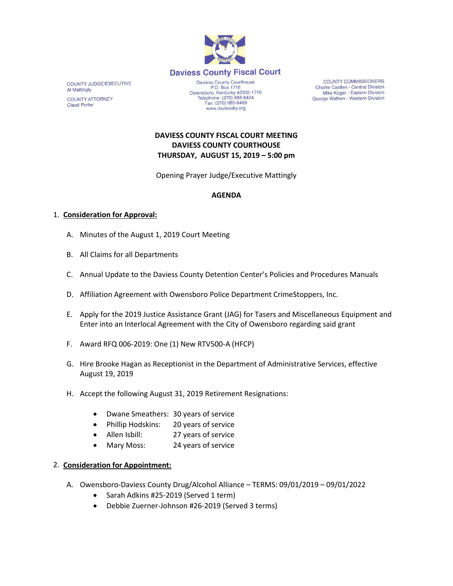

COUNTY JUDGE/EXECUTIVE **Al Mattingly COUNTY ATTORNEY Claud Porter** 

Daviess County Courthouse P.O. Box 1716 P.O. Box 1716<br>Owensboro, Kentucky 42302-1716<br>Telephone: (270) 685-8424 Fax: (270) 685-8469 www.daviessky.org

**COUNTY COMMISSIONERS** Charlie Castlen - Central Division Mike Koger - Eastern Division George Wathen - Western Division

## **DAVIESS COUNTY FISCAL COURT MEETING DAVIESS COUNTY COURTHOUSE THURSDAY, AUGUST 15, 2019 – 5:00 pm**

Opening Prayer Judge/Executive Mattingly

# **AGENDA**

### 1. **Consideration for Approval:**

- A. Minutes of the August 1, 2019 Court Meeting
- B. All Claims for all Departments
- C. Annual Update to the Daviess County Detention Center's Policies and Procedures Manuals
- D. Affiliation Agreement with Owensboro Police Department CrimeStoppers, Inc.
- E. Apply for the 2019 Justice Assistance Grant (JAG) for Tasers and Miscellaneous Equipment and Enter into an Interlocal Agreement with the City of Owensboro regarding said grant
- F. Award RFQ 006-2019: One (1) New RTV500-A (HFCP)
- G. Hire Brooke Hagan as Receptionist in the Department of Administrative Services, effective August 19, 2019
- H. Accept the following August 31, 2019 Retirement Resignations:
	- Dwane Smeathers: 30 years of service
	- Phillip Hodskins: 20 years of service
	- Allen Isbill: 27 years of service
	- Mary Moss: 24 years of service

#### 2. **Consideration for Appointment:**

- A. Owensboro-Daviess County Drug/Alcohol Alliance TERMS: 09/01/2019 09/01/2022
	- Sarah Adkins #25-2019 (Served 1 term)
	- Debbie Zuerner-Johnson #26-2019 (Served 3 terms)